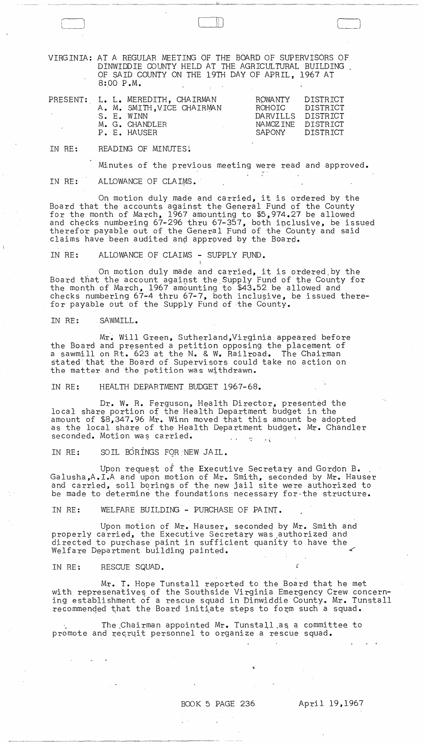VIRGINIA: AT A REGULAR MEETING OF THE BOARD OF SUPERVISORS OF DINWIDDIE COUNTY HELD AT THE AGRICULTURAL BUILDING OF SAID COUNIY ON THE 19TH DAY OF APRIL, 1967 AT 8:00 P.M.

I'

 $\Box$ 

|  | PRESENT: L. L. MEREDITH, CHAIRMAN<br>A. M. SMITH.VICE CHAIRMAN<br>S. E. WINN<br>M. G. CHANDLER | ROWANTY<br>ROHOTC<br>DARVILLS DISTRICT<br>NAMOZINE DISTRICT | DISTRICT<br><b>DISTRICT</b> |
|--|------------------------------------------------------------------------------------------------|-------------------------------------------------------------|-----------------------------|
|  | P. E. HAUSER                                                                                   | SAPONY DISTRICT                                             |                             |

IN RE: READING OF MINUTES!

Minutes of the previous meeting were read and approved.

in the collection of the collection of the collection of the collection of the collection of the collection of<br>Seconds the collection of the collection of the collection of the collection of the collection of the collectio

 $\sim$ 

IN RE: ALLOWANCE OF CLAIMS.

On motion duly made and carried, it is ordered by the Board that the accounts against the General Fund of the County for the month of March, 1967 amounting to \$5,974.27 be allowed and checks numbering 67-296 thru 67-357, both inclusive, be issued therefor payable out of the General Fund of the County and said claims have been audited and approved by the Board.

IN RE: ALLOWANCE OF CLAIMS - SUPPLY FUND.

On motion duly made and carried, it is ordered by the Board that the account against the Supply Fund of the County for the month of March, 1967 amounting to \$43.52 be allowed and checks numbering 67-4 thru 67-7, both inclusive, be issued therefor payable out of the Supply Fund of the County.

IN RE: SAWMILL.

Mr. Will Green, Sutherland, Virginia appeared before the Board and presented a petition opposing the placement of a sawmill on Rt. 623 at the N. & W. Railroad. The Chairman stated that the Board of Supervisors could take no action on the matter and the petition was withdrawn.

IN RE: HEALTH DEPARTMENT BUDGET 1967-68.

Dr. W. R. Ferguson, Health Director, presented the local share portion of the Health Department budget in the amount of \$8,347.96 Mr. Winn moved that this amount be adopted as the local share of the Health Department budget. Mr. Chandler seconded. Motion was carried.  $\omega = \omega$  .  $\omega$  $\tau = \nu$ 

IN RE: SOIL BORINGS FQR"NEW JAIL.

Upon reque~t of the Executive Secretary and Gordon B. . Galusha,A.I.A and upon motion of Mr. Smith, seconded by Mr. Hauser and carried, soil borings of the new jail site were authorized to be made to determine the foundations necessary for-the structure.

IN RE: WELFARE BUILDING - PURCHASE OF PAINT.

Upon motion of Mr. Hauser, secondeq by Mr. Smith and properly carried, the Executive Secretary was ,authorized and directed to purchase paint in sufficient quanity to have the Welfare Department building painted.

IN RE: RESCUE SQUAD.

**Contract Contract** 

Mr. T. Hope Tunstall reported to the Board that he met with represenatives of the Southside Virginia Emergency Crew concerning establishment of a rescue squad in Dinwiddie County. Mr. Tunstall recommended that the Board initiate steps to form such a squad.

The Chairman appointed Mr. Tunstall as a committee to promote and recruit personnel to organize a rescue squad.

 $\begin{array}{ll} \mathbb{E} \left[ \begin{array}{cc} \mathbb{E} \left[ \begin{array}{cc} \mathbb{E} \left[ \begin{array}{cc} \mathbb{E} \left[ \begin{array}{ccc} \mathbb{E} \left[ \begin{array}{ccc} \mathbb{E} \left[ \begin{array}{ccc} \mathbb{E} \left[ \begin{array}{ccc} \mathbb{E} \left[ \begin{array}{ccc} \mathbb{E} \left[ \begin{array}{ccc} \mathbb{E} \left[ \begin{array}{ccc} \mathbb{E} \left[ \begin{array}{ccc} \mathbb{E} \left[ \begin{array}{ccc} \mathbb{E} \left[ \begin{array}{ccc} \mathbb{E$ 

 $\Delta \sim 10^{-10}$  M  $_{\odot}$ 

 $\mathbf{r}$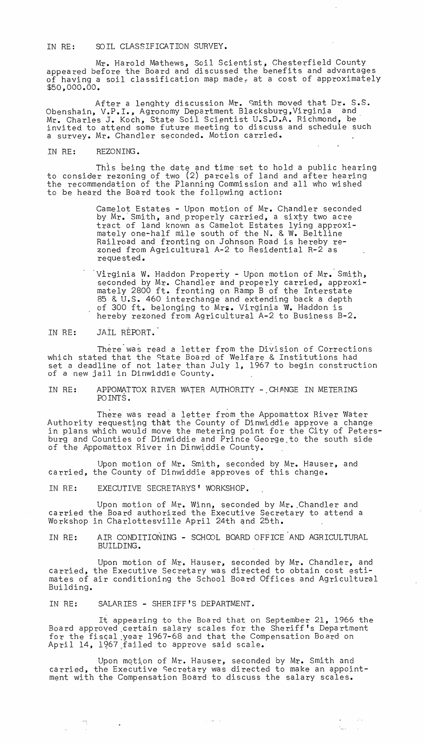## IN RE: SOIL CLASSIFICATION SURVEY.

Mr. Harold Mathews, Soil Scientist, Chesterfield County appeared before the Board and discussed the benefits and advantages of having a soil classification map made, at a cost of approximately<br>\$50,000.00.

After a lenghty discussion Mr. Smith moved that Dr. S.S. Obenshain, V.P.I., Agronomy Department Blacksburg,Virginja and, Mr. Charles J. Koch, State Soil Scientist U.S.D.A. Richmond, be invited to attend some future meeting to discuss and schedule such a survey. Mr. Chandler seconded. Motion carried.

IN RE: REZONING.

This being the date and time 'set to hold a public hearing to consider rezoning of two (2) parcels of land and after hearing the recommendation of the Planning Commission and all who wished to be heard the Board took the following action:

> Camelot Estates - Upon motion of Mr. Chandler seconded by Mr.' Smith, and properly carried, a sixty two acre tract of land known as Camelot Estates lying approximately one-half mile south of the N., & W. Beltline Railroad and fronting on Johnson Road is hereby rezoned from Agricultural A-2 to Residential R-2 as requested.

'Virginia W. Haddon Property - Upon motion of Mr.- Smith, seconded by Mr. Chandler and properly carried, approximately 2800 ft. fronting on Ramp B of the Interstate 85 & U.S. 460 interchange and extending back a depth of 300 ft. belonging to Mrs. Virginia W. Haddon is hereby rezoned from Agricultural A-2 to Business B-2.

## IN RE: JAIL REPORT.

There was read a letter from the Division of Corrections which stated that the state Board of Welfare & Institutions had which seated that the modes board of weirared incorporation had set a deadline of not fatel than 5<br>of a new jail in Dinwiddie County.

IN RE: APPOMATTOX RIVER WATER AUTHORITY - CHANGE IN METERING POINTS.

There was read a letter from the Appomattox River Water Authority requesting that the County of Dinwiddie approve a change in plans which would move the metering point for the City of Petersburg and Counties of Dinwiddie and Prince George,to the south side of the Appomattox River in Dinwiddie County.

Upon motion of Mr. Smith, seconded by Mr. Hauser, and carried, the County of Dinwiddie approves of this change.

IN RE: EXECUTIVE SECRETARYS' WORKSHOP.

Upon motion of Mr. Winn, seconded by Mr. Chandler and carried the Board authorized the Executive Secretary to attend a Workshop in Charlottesville April 24th qnd 25th.

IN RE: AIR CONDITIONING - SCHOOL BOARD OFFICE AND AGRICULTURAL BUILDING.

Upon motion of Mr. Hauser, seconded by Mr. Chandler, and carried, the Executive Secretary was directed to obtain cost estimates of air conditioning the School Board Offices and Agricultural Building.

IN RE: SALARIES - SHERIFF'S DEPARTMENT.

 $\label{eq:2.1} \begin{pmatrix} \frac{\partial}{\partial x} & \frac{\partial}{\partial y} & \frac{\partial}{\partial z} & \frac{\partial}{\partial z} \\ \frac{\partial}{\partial y} & \frac{\partial}{\partial z} & \frac{\partial}{\partial z} & \frac{\partial}{\partial z} & \frac{\partial}{\partial z} \\ \frac{\partial}{\partial z} & \frac{\partial}{\partial z} & \frac{\partial}{\partial z} & \frac{\partial}{\partial z} & \frac{\partial}{\partial z} \end{pmatrix} = \begin{pmatrix} \frac{\partial}{\partial x} & \frac{\partial}{\partial y} & \frac{\partial}{\partial z} \\ \frac{\partial}{\partial z} & \frac{\partial}{\partial z} & \frac{\$ 

It appearing to the Board that on September 21, 1966 the Board approved ,certain salary scales for the Sheriff's Department for the fiscal year 1967-68 and that the Compensation Board on April 14, 1967 failed to approve said scale.

Upon motion of  $Mr.$  Hauser, seconded by Mr. Smith and carried, the Executive Secretary was directed to make an appointment with the Compensation Board to discuss the salary scales.

 $\mathcal{L}_{\mathcal{A}}$  , and  $\mathcal{L}_{\mathcal{A}}$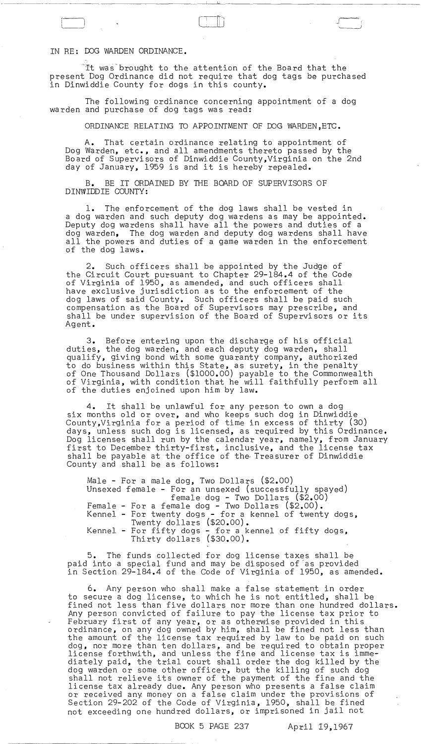IN RE: DOG WARDEN ORDINANCE.

'It was-brought to the attention of the Board that the present Dog Ordinance did not require that dog tags be purchased in Dinwiddie County for dogs in this county.

.--------.-~- ------------- ~.~I~~ \_\_\_\_ ----------------

The following ordinance concerning appointment of a dog warden and purchase of dog tags was read:

ORDINANCE RELATING TO APPOINTMENT OF DOG WARDEN ,ETC.

A. That certain ordinance relating to appointment of Dog Warden, etc., and all amendments thereto passed by the Board of Supervisors of Dinwiddie County,Virginia on the 2nd day of January, 1959 is and it is hereby repealed.

B. BE IT ORDAINED BY THE BOARD OF SUPERVISORS OF DINWIDDIE COUNTY:

1. The enforcement of the dog laws shall be vested in a dog warden and such deputy dog wardens as may be appointed. Deputy dog wardens shall have all the powers and duties of a dog warden, The dog warden and deputy dog wardens shall have all the powers and duties of a game warden in the enforcement of the dog laws.

2. Such officers shall be appointed by the Judge of the Circuit Court pursuant to Chapter 29-184.4 of the Code of Virginia of 1950, as amended, and such officers shall have exclusive jurisdiction as to the enforcement of the dog laws of said County. Such officers shall be paid such compensation as the Board of Supervisors may prescribe, and shall be under supervision of the Board of Supervisors or its Ag ent.

3. Before entering upon the discharge of his official duties, the dog warden, and each deputy dog warden, shall qualify, giving bond with some guaranty company, authorized to do business within this State, as surety, in the penalty of One Thousand Dollars (\$1000.00) payable to the Commonwealth of Virginia, with condition that he will faithfully perform all of the duties enjoined upon him by law.

4. It shall be unlawful for any person to own a dog six months old or over, and who keeps such dog in Dinwiddie County,Virginia for a period of time in excess of thirty (30) days, unless such dog is licensed, as required by this Ordinance. Dog licenses shall run by the calendar year, namely, from January first to December thirty-first, inclusive, and the license tax shall be payable at the office of the Treasurer of Dinwiddie County and shall be as follows:

Male - For a male dog, Two Dollars (\$2.00) Unsexed female - For an unsexed (successfully spayed) female dog - Two Dollars (\$2.00) Female - For a female dog - Two Dollars (\$2.00). Kennel - For twenty dogs - for a kennel of twenty dogs, Twenty dollars (\$20.00). Kennel - For fifty dogs - for a kennel of fifty dogs, Thirty dollars (\$30.00).

5. The funds collected for dog license taxes shall be paid into a special fund and may be disposed of as provided in Section 29-184.4 of the Code of Virginia of 1950, as amended.

6. Any person who shall make a false statement in order to secure a dog license, to which he is not entitled, shall be fined not less than five dollars nor more than one hundred dollars. Any person convicted of failure to pay the license tax prior to February first of any year, or as otherwise provided in this ordinance, on any dog owned by him, shall be fined not less than the amount of the license tax required by law to be paid on such dog, nor more than ten dollars, and be required to obtain proper license forthwith, and unless the fine and license tax is immediately paid, the trial court shall order the dog killed by the dog warden or some other officer, but the killing of such dog shall not relieve its owner of the payment of the fine and the license tax already due. Any person who presents a false claim or received any money on a false claim under the provisions of Section 29-202 of the Code of Virginia, 1950, shall be fined not exceeding one hundred dollars, or imprisoned in jail not

## BOOK 5 PAGE 237 April 19,1967